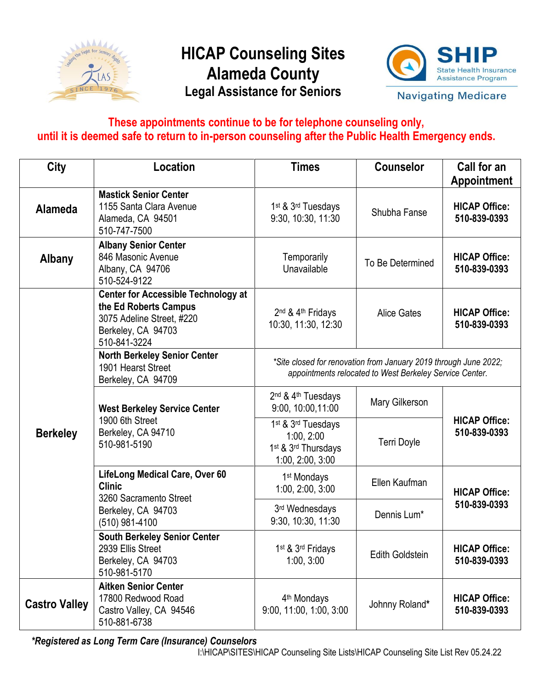

## **HICAP Counseling Sites Alameda County Legal Assistance for Seniors**



**Navigating Medicare** 

## **These appointments continue to be for telephone counseling only, until it is deemed safe to return to in-person counseling after the Public Health Emergency ends.**

| <b>City</b>          | Location                                                                                                                               | <b>Times</b>                                                                                                                | <b>Counselor</b>       | Call for an<br><b>Appointment</b>    |
|----------------------|----------------------------------------------------------------------------------------------------------------------------------------|-----------------------------------------------------------------------------------------------------------------------------|------------------------|--------------------------------------|
| <b>Alameda</b>       | <b>Mastick Senior Center</b><br>1155 Santa Clara Avenue<br>Alameda, CA 94501<br>510-747-7500                                           | 1 <sup>st</sup> & 3 <sup>rd</sup> Tuesdays<br>9:30, 10:30, 11:30                                                            | Shubha Fanse           | <b>HICAP Office:</b><br>510-839-0393 |
| <b>Albany</b>        | <b>Albany Senior Center</b><br>846 Masonic Avenue<br>Albany, CA 94706<br>510-524-9122                                                  | Temporarily<br>Unavailable                                                                                                  | To Be Determined       | <b>HICAP Office:</b><br>510-839-0393 |
| <b>Berkeley</b>      | <b>Center for Accessible Technology at</b><br>the Ed Roberts Campus<br>3075 Adeline Street, #220<br>Berkeley, CA 94703<br>510-841-3224 | 2 <sup>nd</sup> & 4 <sup>th</sup> Fridays<br>10:30, 11:30, 12:30                                                            | <b>Alice Gates</b>     | <b>HICAP Office:</b><br>510-839-0393 |
|                      | <b>North Berkeley Senior Center</b><br>1901 Hearst Street<br>Berkeley, CA 94709                                                        | *Site closed for renovation from January 2019 through June 2022;<br>appointments relocated to West Berkeley Service Center. |                        |                                      |
|                      | <b>West Berkeley Service Center</b><br>1900 6th Street<br>Berkeley, CA 94710<br>510-981-5190                                           | 2 <sup>nd</sup> & 4 <sup>th</sup> Tuesdays<br>9:00, 10:00, 11:00                                                            | Mary Gilkerson         |                                      |
|                      |                                                                                                                                        | 1 <sup>st</sup> & 3 <sup>rd</sup> Tuesdays<br>1:00, 2:00<br>1 <sup>st</sup> & 3 <sup>rd</sup> Thursdays<br>1:00, 2:00, 3:00 | <b>Terri Doyle</b>     | <b>HICAP Office:</b><br>510-839-0393 |
|                      | <b>LifeLong Medical Care, Over 60</b><br><b>Clinic</b><br>3260 Sacramento Street<br>Berkeley, CA 94703<br>(510) 981-4100               | 1 <sup>st</sup> Mondays<br>1:00, 2:00, 3:00                                                                                 | Ellen Kaufman          | <b>HICAP Office:</b>                 |
|                      |                                                                                                                                        | 3rd Wednesdays<br>9:30, 10:30, 11:30                                                                                        | Dennis Lum*            | 510-839-0393                         |
|                      | <b>South Berkeley Senior Center</b><br>2939 Ellis Street<br>Berkeley, CA 94703<br>510-981-5170                                         | 1 <sup>st</sup> & 3 <sup>rd</sup> Fridays<br>1:00, 3:00                                                                     | <b>Edith Goldstein</b> | <b>HICAP Office:</b><br>510-839-0393 |
| <b>Castro Valley</b> | <b>Aitken Senior Center</b><br>17800 Redwood Road<br>Castro Valley, CA 94546<br>510-881-6738                                           | 4 <sup>th</sup> Mondays<br>9:00, 11:00, 1:00, 3:00                                                                          | Johnny Roland*         | <b>HICAP Office:</b><br>510-839-0393 |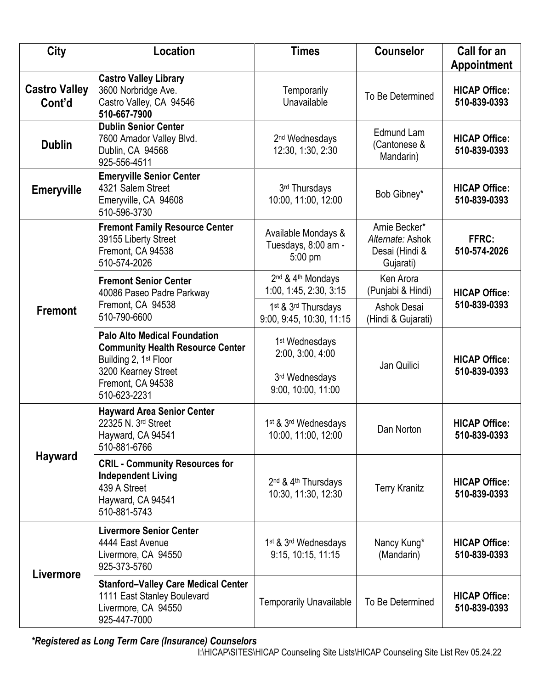| <b>City</b>                    | <b>Location</b>                                                                                                                                                                 | <b>Times</b>                                                                           | <b>Counselor</b>                                                 | Call for an<br><b>Appointment</b>    |
|--------------------------------|---------------------------------------------------------------------------------------------------------------------------------------------------------------------------------|----------------------------------------------------------------------------------------|------------------------------------------------------------------|--------------------------------------|
| <b>Castro Valley</b><br>Cont'd | <b>Castro Valley Library</b><br>3600 Norbridge Ave.<br>Castro Valley, CA 94546<br>510-667-7900                                                                                  | Temporarily<br>Unavailable                                                             | To Be Determined                                                 | <b>HICAP Office:</b><br>510-839-0393 |
| <b>Dublin</b>                  | <b>Dublin Senior Center</b><br>7600 Amador Valley Blvd.<br>Dublin, CA 94568<br>925-556-4511                                                                                     | 2 <sup>nd</sup> Wednesdays<br>12:30, 1:30, 2:30                                        | Edmund Lam<br>(Cantonese &<br>Mandarin)                          | <b>HICAP Office:</b><br>510-839-0393 |
| <b>Emeryville</b>              | <b>Emeryville Senior Center</b><br>4321 Salem Street<br>Emeryville, CA 94608<br>510-596-3730                                                                                    | 3rd Thursdays<br>10:00, 11:00, 12:00                                                   | Bob Gibney*                                                      | <b>HICAP Office:</b><br>510-839-0393 |
| <b>Fremont</b>                 | <b>Fremont Family Resource Center</b><br>39155 Liberty Street<br>Fremont, CA 94538<br>510-574-2026                                                                              | Available Mondays &<br>Tuesdays, 8:00 am -<br>5:00 pm                                  | Arnie Becker*<br>Alternate: Ashok<br>Desai (Hindi &<br>Gujarati) | FFRC:<br>510-574-2026                |
|                                | <b>Fremont Senior Center</b><br>40086 Paseo Padre Parkway                                                                                                                       | 2 <sup>nd</sup> & 4 <sup>th</sup> Mondays<br>1:00, 1:45, 2:30, 3:15                    | Ken Arora<br>(Punjabi & Hindi)                                   | <b>HICAP Office:</b>                 |
|                                | Fremont, CA 94538<br>510-790-6600                                                                                                                                               | 1st & 3rd Thursdays<br>9:00, 9:45, 10:30, 11:15                                        | Ashok Desai<br>(Hindi & Gujarati)                                | 510-839-0393                         |
|                                | <b>Palo Alto Medical Foundation</b><br><b>Community Health Resource Center</b><br>Building 2, 1 <sup>st</sup> Floor<br>3200 Kearney Street<br>Fremont, CA 94538<br>510-623-2231 | 1 <sup>st</sup> Wednesdays<br>2:00, 3:00, 4:00<br>3rd Wednesdays<br>9:00, 10:00, 11:00 | Jan Quilici                                                      | <b>HICAP Office:</b><br>510-839-0393 |
| <b>Hayward</b>                 | <b>Hayward Area Senior Center</b><br>22325 N. 3rd Street<br>Hayward, CA 94541<br>510-881-6766                                                                                   | 1st & 3rd Wednesdays<br>10:00, 11:00, 12:00                                            | Dan Norton                                                       | <b>HICAP Office:</b><br>510-839-0393 |
|                                | <b>CRIL - Community Resources for</b><br><b>Independent Living</b><br>439 A Street<br>Hayward, CA 94541<br>510-881-5743                                                         | 2 <sup>nd</sup> & 4 <sup>th</sup> Thursdays<br>10:30, 11:30, 12:30                     | <b>Terry Kranitz</b>                                             | <b>HICAP Office:</b><br>510-839-0393 |
| Livermore                      | <b>Livermore Senior Center</b><br>4444 East Avenue<br>Livermore, CA 94550<br>925-373-5760                                                                                       | 1 <sup>st</sup> & 3 <sup>rd</sup> Wednesdays<br>9:15, 10:15, 11:15                     | Nancy Kung*<br>(Mandarin)                                        | <b>HICAP Office:</b><br>510-839-0393 |
|                                | <b>Stanford-Valley Care Medical Center</b><br>1111 East Stanley Boulevard<br>Livermore, CA 94550<br>925-447-7000                                                                | <b>Temporarily Unavailable</b>                                                         | To Be Determined                                                 | <b>HICAP Office:</b><br>510-839-0393 |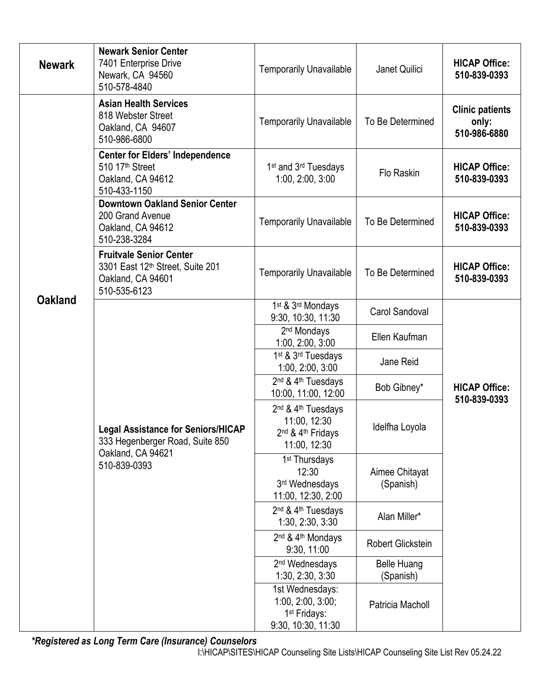| <b>Newark</b>  | <b>Newark Senior Center</b><br>7401 Enterprise Drive<br>Newark, CA 94560<br>510-578-4840                          | <b>Temporarily Unavailable</b>                                                                                          | Janet Quilici                   | <b>HICAP Office:</b><br>510-839-0393            |
|----------------|-------------------------------------------------------------------------------------------------------------------|-------------------------------------------------------------------------------------------------------------------------|---------------------------------|-------------------------------------------------|
| <b>Oakland</b> | <b>Asian Health Services</b><br>818 Webster Street<br>Oakland, CA 94607<br>510-986-6800                           | <b>Temporarily Unavailable</b>                                                                                          | To Be Determined                | <b>Clinic patients</b><br>only:<br>510-986-6880 |
|                | <b>Center for Elders' Independence</b><br>510 17 <sup>th</sup> Street<br>Oakland, CA 94612<br>510-433-1150        | 1 <sup>st</sup> and 3 <sup>rd</sup> Tuesdays<br>1:00, 2:00, 3:00                                                        | Flo Raskin                      | <b>HICAP Office:</b><br>510-839-0393            |
|                | <b>Downtown Oakland Senior Center</b><br>200 Grand Avenue<br>Oakland, CA 94612<br>510-238-3284                    | <b>Temporarily Unavailable</b>                                                                                          | To Be Determined                | <b>HICAP Office:</b><br>510-839-0393            |
|                | <b>Fruitvale Senior Center</b><br>3301 East 12th Street, Suite 201<br>Oakland, CA 94601<br>510-535-6123           | <b>Temporarily Unavailable</b>                                                                                          | To Be Determined                | <b>HICAP Office:</b><br>510-839-0393            |
|                | <b>Legal Assistance for Seniors/HICAP</b><br>333 Hegenberger Road, Suite 850<br>Oakland, CA 94621<br>510-839-0393 | 1st & 3rd Mondays<br>9:30, 10:30, 11:30                                                                                 | <b>Carol Sandoval</b>           |                                                 |
|                |                                                                                                                   | 2 <sup>nd</sup> Mondays<br>1:00, 2:00, 3:00                                                                             | Ellen Kaufman                   |                                                 |
|                |                                                                                                                   | 1 <sup>st</sup> & 3 <sup>rd</sup> Tuesdays<br>1:00, 2:00, 3:00                                                          | Jane Reid                       | <b>HICAP Office:</b>                            |
|                |                                                                                                                   | 2 <sup>nd</sup> & 4 <sup>th</sup> Tuesdays<br>10:00, 11:00, 12:00                                                       | Bob Gibney*                     |                                                 |
|                |                                                                                                                   | 2 <sup>nd</sup> & 4 <sup>th</sup> Tuesdays<br>11:00, 12:30<br>2 <sup>nd</sup> & 4 <sup>th</sup> Fridays<br>11:00, 12:30 | Idelfha Loyola                  | 510-839-0393                                    |
|                |                                                                                                                   | 1 <sup>st</sup> Thursdays<br>12:30<br>3rd Wednesdays<br>11:00, 12:30, 2:00                                              | Aimee Chitayat<br>(Spanish)     |                                                 |
|                |                                                                                                                   | 2 <sup>nd</sup> & 4 <sup>th</sup> Tuesdays<br>1:30, 2:30, 3:30                                                          | Alan Miller*                    |                                                 |
|                |                                                                                                                   | 2 <sup>nd</sup> & 4 <sup>th</sup> Mondays<br>9:30, 11:00                                                                | <b>Robert Glickstein</b>        |                                                 |
|                |                                                                                                                   | 2 <sup>nd</sup> Wednesdays<br>1:30, 2:30, 3:30                                                                          | <b>Belle Huang</b><br>(Spanish) |                                                 |
|                |                                                                                                                   | 1st Wednesdays:<br>1:00, 2:00, 3:00;<br>1 <sup>st</sup> Fridays:<br>9:30, 10:30, 11:30                                  | Patricia Macholl                |                                                 |